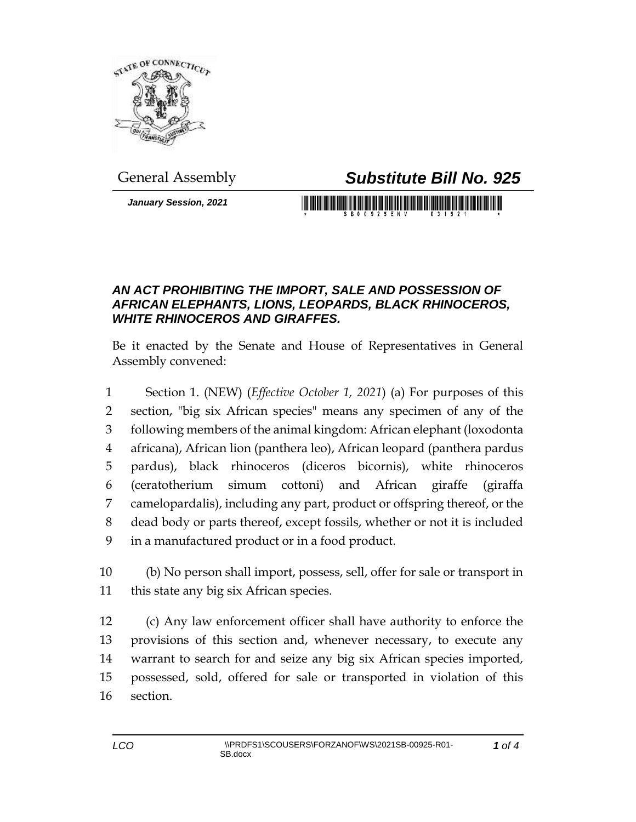

## General Assembly *Substitute Bill No. 925*

*January Session, 2021*

## 

## *AN ACT PROHIBITING THE IMPORT, SALE AND POSSESSION OF AFRICAN ELEPHANTS, LIONS, LEOPARDS, BLACK RHINOCEROS, WHITE RHINOCEROS AND GIRAFFES.*

Be it enacted by the Senate and House of Representatives in General Assembly convened:

 Section 1. (NEW) (*Effective October 1, 2021*) (a) For purposes of this section, "big six African species" means any specimen of any of the following members of the animal kingdom: African elephant (loxodonta africana), African lion (panthera leo), African leopard (panthera pardus pardus), black rhinoceros (diceros bicornis), white rhinoceros (ceratotherium simum cottoni) and African giraffe (giraffa camelopardalis), including any part, product or offspring thereof, or the dead body or parts thereof, except fossils, whether or not it is included in a manufactured product or in a food product.

 (b) No person shall import, possess, sell, offer for sale or transport in this state any big six African species.

 (c) Any law enforcement officer shall have authority to enforce the provisions of this section and, whenever necessary, to execute any warrant to search for and seize any big six African species imported, possessed, sold, offered for sale or transported in violation of this section.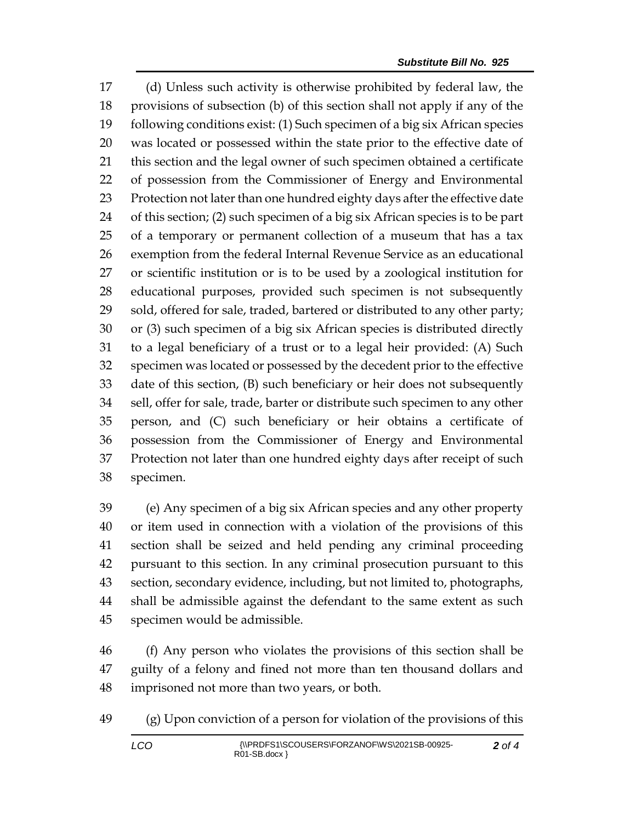(d) Unless such activity is otherwise prohibited by federal law, the provisions of subsection (b) of this section shall not apply if any of the following conditions exist: (1) Such specimen of a big six African species was located or possessed within the state prior to the effective date of this section and the legal owner of such specimen obtained a certificate of possession from the Commissioner of Energy and Environmental Protection not later than one hundred eighty days after the effective date of this section; (2) such specimen of a big six African species is to be part of a temporary or permanent collection of a museum that has a tax exemption from the federal Internal Revenue Service as an educational or scientific institution or is to be used by a zoological institution for educational purposes, provided such specimen is not subsequently sold, offered for sale, traded, bartered or distributed to any other party; or (3) such specimen of a big six African species is distributed directly to a legal beneficiary of a trust or to a legal heir provided: (A) Such specimen was located or possessed by the decedent prior to the effective date of this section, (B) such beneficiary or heir does not subsequently sell, offer for sale, trade, barter or distribute such specimen to any other person, and (C) such beneficiary or heir obtains a certificate of possession from the Commissioner of Energy and Environmental Protection not later than one hundred eighty days after receipt of such specimen.

 (e) Any specimen of a big six African species and any other property or item used in connection with a violation of the provisions of this section shall be seized and held pending any criminal proceeding pursuant to this section. In any criminal prosecution pursuant to this section, secondary evidence, including, but not limited to, photographs, shall be admissible against the defendant to the same extent as such specimen would be admissible.

 (f) Any person who violates the provisions of this section shall be guilty of a felony and fined not more than ten thousand dollars and imprisoned not more than two years, or both.

(g) Upon conviction of a person for violation of the provisions of this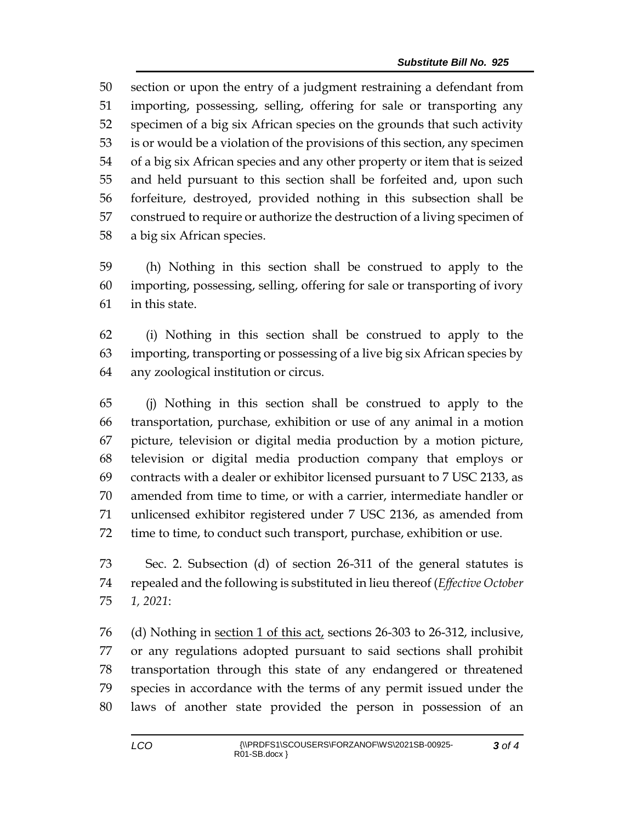section or upon the entry of a judgment restraining a defendant from importing, possessing, selling, offering for sale or transporting any specimen of a big six African species on the grounds that such activity is or would be a violation of the provisions of this section, any specimen of a big six African species and any other property or item that is seized and held pursuant to this section shall be forfeited and, upon such forfeiture, destroyed, provided nothing in this subsection shall be construed to require or authorize the destruction of a living specimen of a big six African species.

 (h) Nothing in this section shall be construed to apply to the importing, possessing, selling, offering for sale or transporting of ivory in this state.

 (i) Nothing in this section shall be construed to apply to the importing, transporting or possessing of a live big six African species by any zoological institution or circus.

 (j) Nothing in this section shall be construed to apply to the transportation, purchase, exhibition or use of any animal in a motion picture, television or digital media production by a motion picture, television or digital media production company that employs or contracts with a dealer or exhibitor licensed pursuant to 7 USC 2133, as amended from time to time, or with a carrier, intermediate handler or unlicensed exhibitor registered under 7 USC 2136, as amended from time to time, to conduct such transport, purchase, exhibition or use.

 Sec. 2. Subsection (d) of section 26-311 of the general statutes is repealed and the following is substituted in lieu thereof (*Effective October 1, 2021*:

76 (d) Nothing in <u>section 1 of this act</u>, sections 26-303 to 26-312, inclusive, or any regulations adopted pursuant to said sections shall prohibit transportation through this state of any endangered or threatened species in accordance with the terms of any permit issued under the laws of another state provided the person in possession of an